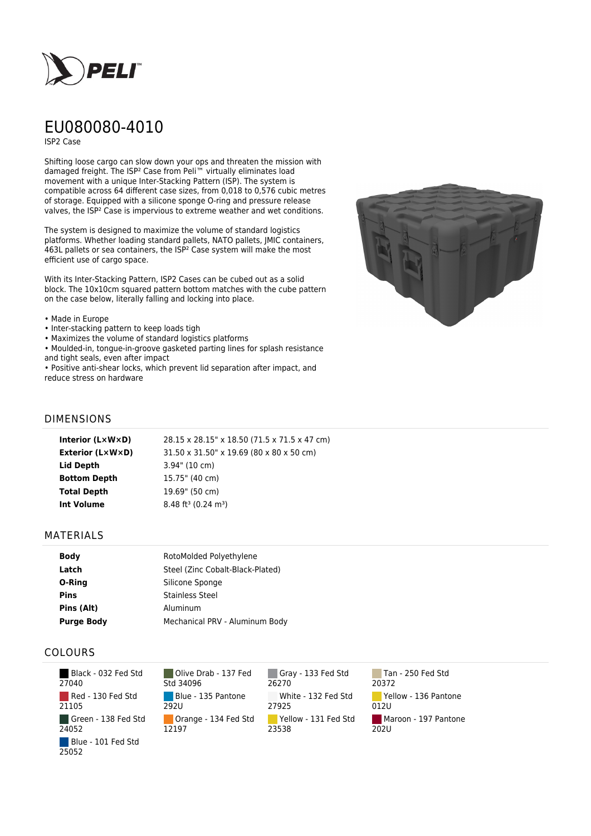

# EU080080-4010

ISP2 Case

Shifting loose cargo can slow down your ops and threaten the mission with damaged freight. The ISP² Case from Peli™ virtually eliminates load movement with a unique Inter-Stacking Pattern (ISP). The system is compatible across 64 different case sizes, from 0,018 to 0,576 cubic metres of storage. Equipped with a silicone sponge O-ring and pressure release valves, the ISP² Case is impervious to extreme weather and wet conditions.

The system is designed to maximize the volume of standard logistics platforms. Whether loading standard pallets, NATO pallets, JMIC containers, 463L pallets or sea containers, the ISP² Case system will make the most efficient use of cargo space.

With its Inter-Stacking Pattern, ISP2 Cases can be cubed out as a solid block. The 10x10cm squared pattern bottom matches with the cube pattern on the case below, literally falling and locking into place.

#### • Made in Europe

- Inter-stacking pattern to keep loads tigh
- Maximizes the volume of standard logistics platforms
- Moulded-in, tongue-in-groove gasketed parting lines for splash resistance and tight seals, even after impact

• Positive anti-shear locks, which prevent lid separation after impact, and reduce stress on hardware



### DIMENSIONS

| Interior (LxWxD)    | 28.15 x 28.15" x 18.50 (71.5 x 71.5 x 47 cm) |
|---------------------|----------------------------------------------|
| Exterior (L×W×D)    | 31.50 x 31.50" x 19.69 (80 x 80 x 50 cm)     |
| Lid Depth           | $3.94$ " (10 cm)                             |
| <b>Bottom Depth</b> | 15.75" (40 cm)                               |
| <b>Total Depth</b>  | 19.69" (50 cm)                               |
| <b>Int Volume</b>   | $8.48 \text{ ft}^3$ (0.24 m <sup>3</sup> )   |

#### MATERIALS

| <b>Body</b>       | RotoMolded Polyethylene          |
|-------------------|----------------------------------|
| Latch             | Steel (Zinc Cobalt-Black-Plated) |
| O-Ring            | Silicone Sponge                  |
| <b>Pins</b>       | <b>Stainless Steel</b>           |
| Pins (Alt)        | Aluminum                         |
| <b>Purge Body</b> | Mechanical PRV - Aluminum Body   |

## COLOURS

| Black - 032 Fed Std<br>27040 |
|------------------------------|
| Red - 130 Fed Std<br>21105   |
| Green - 138 Fed Std<br>24052 |
| Blue - 101 Fed Std<br>25052  |

Olive Drab - 137 Fed Std 34096 Blue - 135 Pantone 292U Orange - 134 Fed Std 12197

Gray - 133 Fed Std 26270 White - 132 Fed Std 27925 Yellow - 131 Fed Std 23538

Tan - 250 Fed Std 20372 Yellow - 136 Pantone 012U Maroon - 197 Pantone  $202U$